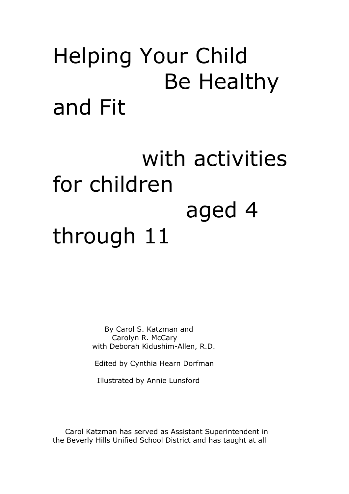# Helping Your Child Be Healthy and Fit

# with activities for children aged 4 through 11

 By Carol S. Katzman and Carolyn R. McCary with Deborah Kidushim-Allen, R.D.

Edited by Cynthia Hearn Dorfman

Illustrated by Annie Lunsford

 Carol Katzman has served as Assistant Superintendent in the Beverly Hills Unified School District and has taught at all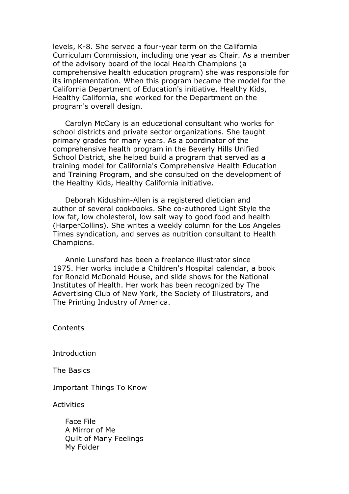levels, K-8. She served a four-year term on the California Curriculum Commission, including one year as Chair. As a member of the advisory board of the local Health Champions (a comprehensive health education program) she was responsible for its implementation. When this program became the model for the California Department of Education's initiative, Healthy Kids, Healthy California, she worked for the Department on the program's overall design.

 Carolyn McCary is an educational consultant who works for school districts and private sector organizations. She taught primary grades for many years. As a coordinator of the comprehensive health program in the Beverly Hills Unified School District, she helped build a program that served as a training model for California's Comprehensive Health Education and Training Program, and she consulted on the development of the Healthy Kids, Healthy California initiative.

 Deborah Kidushim-Allen is a registered dietician and author of several cookbooks. She co-authored Light Style the low fat, low cholesterol, low salt way to good food and health (HarperCollins). She writes a weekly column for the Los Angeles Times syndication, and serves as nutrition consultant to Health Champions.

 Annie Lunsford has been a freelance illustrator since 1975. Her works include a Children's Hospital calendar, a book for Ronald McDonald House, and slide shows for the National Institutes of Health. Her work has been recognized by The Advertising Club of New York, the Society of Illustrators, and The Printing Industry of America.

**Contents** 

Introduction

The Basics

Important Things To Know

Activities

 Face File A Mirror of Me Quilt of Many Feelings My Folder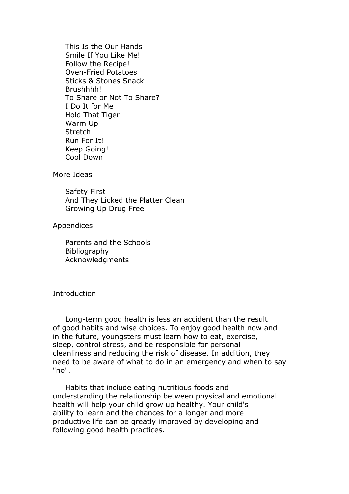This Is the Our Hands Smile If You Like Me! Follow the Recipe! Oven-Fried Potatoes Sticks & Stones Snack Brushhhh! To Share or Not To Share? I Do It for Me Hold That Tiger! Warm Up **Stretch**  Run For It! Keep Going! Cool Down

#### More Ideas

 Safety First And They Licked the Platter Clean Growing Up Drug Free

#### Appendices

 Parents and the Schools Bibliography Acknowledgments

### Introduction

 Long-term good health is less an accident than the result of good habits and wise choices. To enjoy good health now and in the future, youngsters must learn how to eat, exercise, sleep, control stress, and be responsible for personal cleanliness and reducing the risk of disease. In addition, they need to be aware of what to do in an emergency and when to say "no".

 Habits that include eating nutritious foods and understanding the relationship between physical and emotional health will help your child grow up healthy. Your child's ability to learn and the chances for a longer and more productive life can be greatly improved by developing and following good health practices.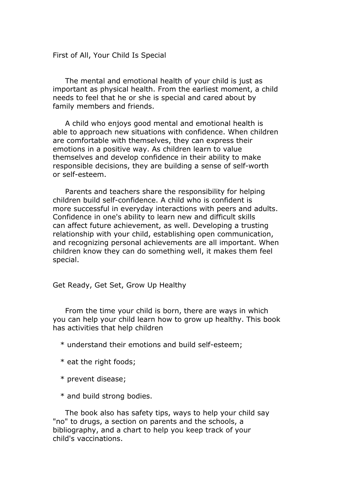First of All, Your Child Is Special

 The mental and emotional health of your child is just as important as physical health. From the earliest moment, a child needs to feel that he or she is special and cared about by family members and friends.

 A child who enjoys good mental and emotional health is able to approach new situations with confidence. When children are comfortable with themselves, they can express their emotions in a positive way. As children learn to value themselves and develop confidence in their ability to make responsible decisions, they are building a sense of self-worth or self-esteem.

 Parents and teachers share the responsibility for helping children build self-confidence. A child who is confident is more successful in everyday interactions with peers and adults. Confidence in one's ability to learn new and difficult skills can affect future achievement, as well. Developing a trusting relationship with your child, establishing open communication, and recognizing personal achievements are all important. When children know they can do something well, it makes them feel special.

Get Ready, Get Set, Grow Up Healthy

 From the time your child is born, there are ways in which you can help your child learn how to grow up healthy. This book has activities that help children

- \* understand their emotions and build self-esteem;
- \* eat the right foods;
- \* prevent disease;
- \* and build strong bodies.

 The book also has safety tips, ways to help your child say "no" to drugs, a section on parents and the schools, a bibliography, and a chart to help you keep track of your child's vaccinations.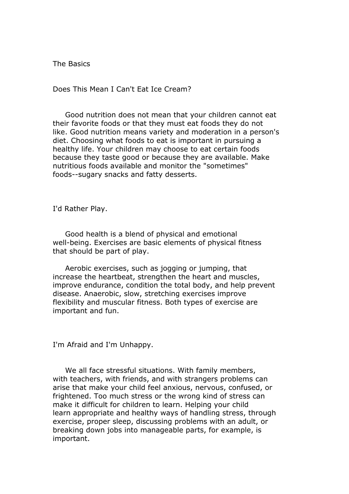The Basics

Does This Mean I Can't Eat Ice Cream?

 Good nutrition does not mean that your children cannot eat their favorite foods or that they must eat foods they do not like. Good nutrition means variety and moderation in a person's diet. Choosing what foods to eat is important in pursuing a healthy life. Your children may choose to eat certain foods because they taste good or because they are available. Make nutritious foods available and monitor the "sometimes" foods--sugary snacks and fatty desserts.

I'd Rather Play.

 Good health is a blend of physical and emotional well-being. Exercises are basic elements of physical fitness that should be part of play.

 Aerobic exercises, such as jogging or jumping, that increase the heartbeat, strengthen the heart and muscles, improve endurance, condition the total body, and help prevent disease. Anaerobic, slow, stretching exercises improve flexibility and muscular fitness. Both types of exercise are important and fun.

I'm Afraid and I'm Unhappy.

 We all face stressful situations. With family members, with teachers, with friends, and with strangers problems can arise that make your child feel anxious, nervous, confused, or frightened. Too much stress or the wrong kind of stress can make it difficult for children to learn. Helping your child learn appropriate and healthy ways of handling stress, through exercise, proper sleep, discussing problems with an adult, or breaking down jobs into manageable parts, for example, is important.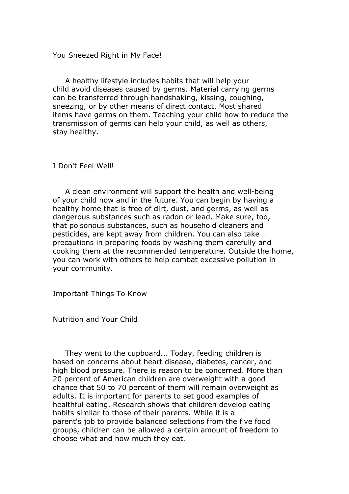#### You Sneezed Right in My Face!

 A healthy lifestyle includes habits that will help your child avoid diseases caused by germs. Material carrying germs can be transferred through handshaking, kissing, coughing, sneezing, or by other means of direct contact. Most shared items have germs on them. Teaching your child how to reduce the transmission of germs can help your child, as well as others, stay healthy.

#### I Don't Feel Well!

 A clean environment will support the health and well-being of your child now and in the future. You can begin by having a healthy home that is free of dirt, dust, and germs, as well as dangerous substances such as radon or lead. Make sure, too, that poisonous substances, such as household cleaners and pesticides, are kept away from children. You can also take precautions in preparing foods by washing them carefully and cooking them at the recommended temperature. Outside the home, you can work with others to help combat excessive pollution in your community.

Important Things To Know

Nutrition and Your Child

 They went to the cupboard... Today, feeding children is based on concerns about heart disease, diabetes, cancer, and high blood pressure. There is reason to be concerned. More than 20 percent of American children are overweight with a good chance that 50 to 70 percent of them will remain overweight as adults. It is important for parents to set good examples of healthful eating. Research shows that children develop eating habits similar to those of their parents. While it is a parent's job to provide balanced selections from the five food groups, children can be allowed a certain amount of freedom to choose what and how much they eat.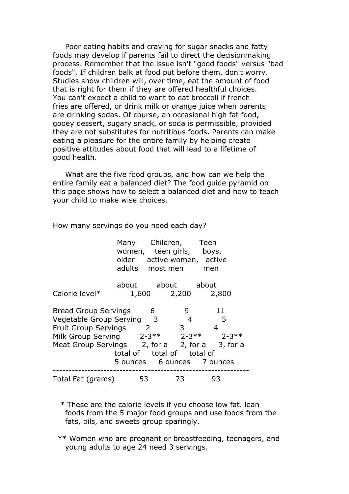Poor eating habits and craving for sugar snacks and fatty foods may develop if parents fail to direct the decisionmaking process. Remember that the issue isn't "good foods" versus "bad foods". If children balk at food put before them, don't worry. Studies show children will, over time, eat the amount of food that is right for them if they are offered healthful choices. You can't expect a child to want to eat broccoli if french fries are offered, or drink milk or orange juice when parents are drinking sodas. Of course, an occasional high fat food, gooey dessert, sugary snack, or soda is permissible, provided they are not substitutes for nutritious foods. Parents can make eating a pleasure for the entire family by helping create positive attitudes about food that will lead to a lifetime of good health.

 What are the five food groups, and how can we help the entire family eat a balanced diet? The food guide pyramid on this page shows how to select a balanced diet and how to teach your child to make wise choices.

How many servings do you need each day?

|                                                                                                                                                                                                                                                                                                                                                                                             | Many<br>older<br>adults | Children,<br>women, teen girls,<br>active women, active<br>most men<br>about about about | Teen<br>boys,<br>men |
|---------------------------------------------------------------------------------------------------------------------------------------------------------------------------------------------------------------------------------------------------------------------------------------------------------------------------------------------------------------------------------------------|-------------------------|------------------------------------------------------------------------------------------|----------------------|
| Calorie level*                                                                                                                                                                                                                                                                                                                                                                              | 1,600                   | 2,200                                                                                    | 2,800                |
| <b>Bread Group Servings</b><br>11<br>9<br>6<br>$\overline{3}$<br>Vegetable Group Serving<br>$\overline{4}$<br>5<br>$\overline{3}$<br>4<br><b>Fruit Group Servings</b><br>$\overline{2}$<br>$2 - 3$ **<br>$2 - 3$ **<br>$2 - 3$ **<br>Milk Group Serving<br>Meat Group Servings<br>2, for $a = 2$ , for $a = 3$ , for $a = 2$<br>total of<br>total of total of<br>5 ounces 6 ounces 7 ounces |                         |                                                                                          |                      |
| Total Fat (grams)                                                                                                                                                                                                                                                                                                                                                                           | 53                      | 73                                                                                       | 93                   |

 \* These are the calorie levels if you choose low fat. lean foods from the 5 major food groups and use foods from the fats, oils, and sweets group sparingly.

 \*\* Women who are pregnant or breastfeeding, teenagers, and young adults to age 24 need 3 servings.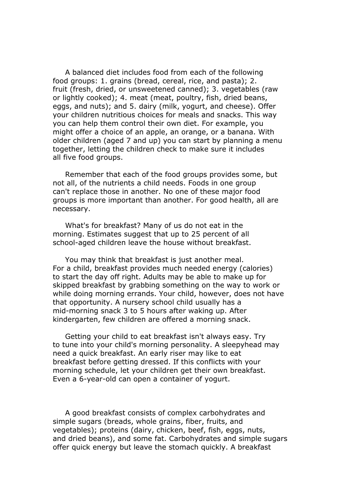A balanced diet includes food from each of the following food groups: 1. grains (bread, cereal, rice, and pasta); 2. fruit (fresh, dried, or unsweetened canned); 3. vegetables (raw or lightly cooked); 4. meat (meat, poultry, fish, dried beans, eggs, and nuts); and 5. dairy (milk, yogurt, and cheese). Offer your children nutritious choices for meals and snacks. This way you can help them control their own diet. For example, you might offer a choice of an apple, an orange, or a banana. With older children (aged 7 and up) you can start by planning a menu together, letting the children check to make sure it includes all five food groups.

 Remember that each of the food groups provides some, but not all, of the nutrients a child needs. Foods in one group can't replace those in another. No one of these major food groups is more important than another. For good health, all are necessary.

 What's for breakfast? Many of us do not eat in the morning. Estimates suggest that up to 25 percent of all school-aged children leave the house without breakfast.

You may think that breakfast is just another meal. For a child, breakfast provides much needed energy (calories) to start the day off right. Adults may be able to make up for skipped breakfast by grabbing something on the way to work or while doing morning errands. Your child, however, does not have that opportunity. A nursery school child usually has a mid-morning snack 3 to 5 hours after waking up. After kindergarten, few children are offered a morning snack.

 Getting your child to eat breakfast isn't always easy. Try to tune into your child's morning personality. A sleepyhead may need a quick breakfast. An early riser may like to eat breakfast before getting dressed. If this conflicts with your morning schedule, let your children get their own breakfast. Even a 6-year-old can open a container of yogurt.

 A good breakfast consists of complex carbohydrates and simple sugars (breads, whole grains, fiber, fruits, and vegetables); proteins (dairy, chicken, beef, fish, eggs, nuts, and dried beans), and some fat. Carbohydrates and simple sugars offer quick energy but leave the stomach quickly. A breakfast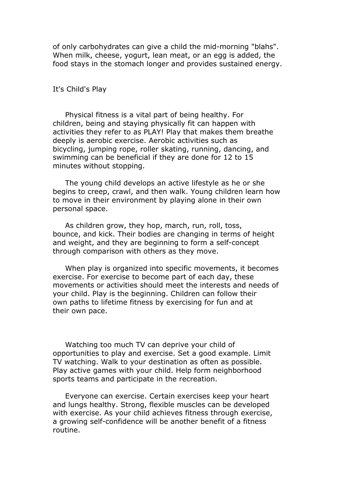of only carbohydrates can give a child the mid-morning "blahs". When milk, cheese, yogurt, lean meat, or an egg is added, the food stays in the stomach longer and provides sustained energy.

#### It's Child's Play

 Physical fitness is a vital part of being healthy. For children, being and staying physically fit can happen with activities they refer to as PLAY! Play that makes them breathe deeply is aerobic exercise. Aerobic activities such as bicycling, jumping rope, roller skating, running, dancing, and swimming can be beneficial if they are done for 12 to 15 minutes without stopping.

 The young child develops an active lifestyle as he or she begins to creep, crawl, and then walk. Young children learn how to move in their environment by playing alone in their own personal space.

 As children grow, they hop, march, run, roll, toss, bounce, and kick. Their bodies are changing in terms of height and weight, and they are beginning to form a self-concept through comparison with others as they move.

 When play is organized into specific movements, it becomes exercise. For exercise to become part of each day, these movements or activities should meet the interests and needs of your child. Play is the beginning. Children can follow their own paths to lifetime fitness by exercising for fun and at their own pace.

 Watching too much TV can deprive your child of opportunities to play and exercise. Set a good example. Limit TV watching. Walk to your destination as often as possible. Play active games with your child. Help form neighborhood sports teams and participate in the recreation.

 Everyone can exercise. Certain exercises keep your heart and lungs healthy. Strong, flexible muscles can be developed with exercise. As your child achieves fitness through exercise, a growing self-confidence will be another benefit of a fitness routine.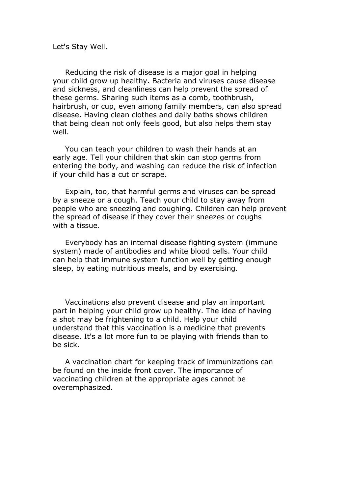Reducing the risk of disease is a major goal in helping your child grow up healthy. Bacteria and viruses cause disease and sickness, and cleanliness can help prevent the spread of these germs. Sharing such items as a comb, toothbrush, hairbrush, or cup, even among family members, can also spread disease. Having clean clothes and daily baths shows children that being clean not only feels good, but also helps them stay well.

 You can teach your children to wash their hands at an early age. Tell your children that skin can stop germs from entering the body, and washing can reduce the risk of infection if your child has a cut or scrape.

 Explain, too, that harmful germs and viruses can be spread by a sneeze or a cough. Teach your child to stay away from people who are sneezing and coughing. Children can help prevent the spread of disease if they cover their sneezes or coughs with a tissue.

 Everybody has an internal disease fighting system (immune system) made of antibodies and white blood cells. Your child can help that immune system function well by getting enough sleep, by eating nutritious meals, and by exercising.

 Vaccinations also prevent disease and play an important part in helping your child grow up healthy. The idea of having a shot may be frightening to a child. Help your child understand that this vaccination is a medicine that prevents disease. It's a lot more fun to be playing with friends than to be sick.

 A vaccination chart for keeping track of immunizations can be found on the inside front cover. The importance of vaccinating children at the appropriate ages cannot be overemphasized.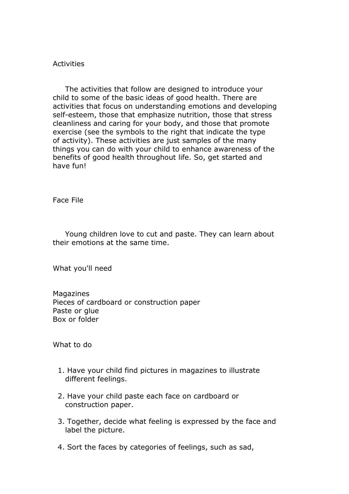#### Activities

 The activities that follow are designed to introduce your child to some of the basic ideas of good health. There are activities that focus on understanding emotions and developing self-esteem, those that emphasize nutrition, those that stress cleanliness and caring for your body, and those that promote exercise (see the symbols to the right that indicate the type of activity). These activities are just samples of the many things you can do with your child to enhance awareness of the benefits of good health throughout life. So, get started and have fun!

Face File

 Young children love to cut and paste. They can learn about their emotions at the same time.

What you'll need

Magazines Pieces of cardboard or construction paper Paste or glue Box or folder

- 1. Have your child find pictures in magazines to illustrate different feelings.
- 2. Have your child paste each face on cardboard or construction paper.
- 3. Together, decide what feeling is expressed by the face and label the picture.
- 4. Sort the faces by categories of feelings, such as sad,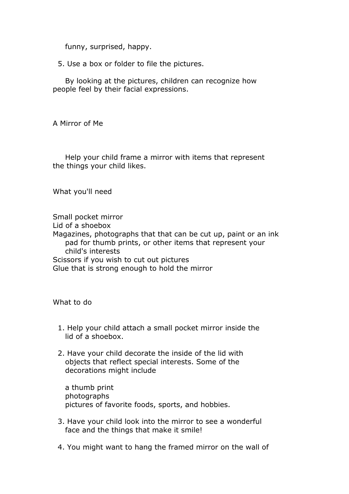funny, surprised, happy.

5. Use a box or folder to file the pictures.

 By looking at the pictures, children can recognize how people feel by their facial expressions.

A Mirror of Me

 Help your child frame a mirror with items that represent the things your child likes.

What you'll need

Small pocket mirror Lid of a shoebox Magazines, photographs that that can be cut up, paint or an ink pad for thumb prints, or other items that represent your child's interests Scissors if you wish to cut out pictures Glue that is strong enough to hold the mirror

What to do

- 1. Help your child attach a small pocket mirror inside the lid of a shoebox.
- 2. Have your child decorate the inside of the lid with objects that reflect special interests. Some of the decorations might include

 a thumb print photographs pictures of favorite foods, sports, and hobbies.

- 3. Have your child look into the mirror to see a wonderful face and the things that make it smile!
- 4. You might want to hang the framed mirror on the wall of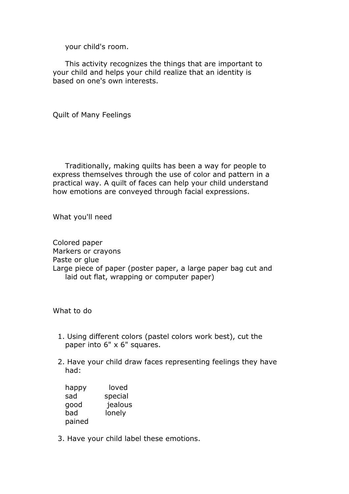your child's room.

 This activity recognizes the things that are important to your child and helps your child realize that an identity is based on one's own interests.

Quilt of Many Feelings

 Traditionally, making quilts has been a way for people to express themselves through the use of color and pattern in a practical way. A quilt of faces can help your child understand how emotions are conveyed through facial expressions.

What you'll need

Colored paper Markers or crayons Paste or glue Large piece of paper (poster paper, a large paper bag cut and laid out flat, wrapping or computer paper)

What to do

- 1. Using different colors (pastel colors work best), cut the paper into 6" x 6" squares.
- 2. Have your child draw faces representing feelings they have had:

| happy  | loved   |
|--------|---------|
| sad    | special |
| good   | jealous |
| bad    | lonely  |
| pained |         |

3. Have your child label these emotions.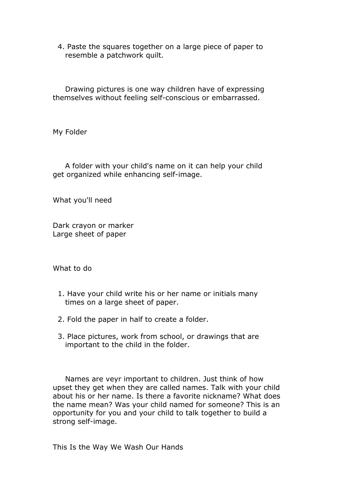4. Paste the squares together on a large piece of paper to resemble a patchwork quilt.

 Drawing pictures is one way children have of expressing themselves without feeling self-conscious or embarrassed.

My Folder

 A folder with your child's name on it can help your child get organized while enhancing self-image.

What you'll need

Dark crayon or marker Large sheet of paper

What to do

- 1. Have your child write his or her name or initials many times on a large sheet of paper.
- 2. Fold the paper in half to create a folder.
- 3. Place pictures, work from school, or drawings that are important to the child in the folder.

 Names are veyr important to children. Just think of how upset they get when they are called names. Talk with your child about his or her name. Is there a favorite nickname? What does the name mean? Was your child named for someone? This is an opportunity for you and your child to talk together to build a strong self-image.

This Is the Way We Wash Our Hands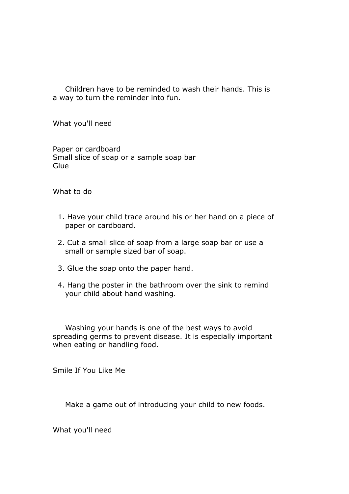Children have to be reminded to wash their hands. This is a way to turn the reminder into fun.

What you'll need

Paper or cardboard Small slice of soap or a sample soap bar **Glue** 

What to do

- 1. Have your child trace around his or her hand on a piece of paper or cardboard.
- 2. Cut a small slice of soap from a large soap bar or use a small or sample sized bar of soap.
- 3. Glue the soap onto the paper hand.
- 4. Hang the poster in the bathroom over the sink to remind your child about hand washing.

 Washing your hands is one of the best ways to avoid spreading germs to prevent disease. It is especially important when eating or handling food.

Smile If You Like Me

Make a game out of introducing your child to new foods.

What you'll need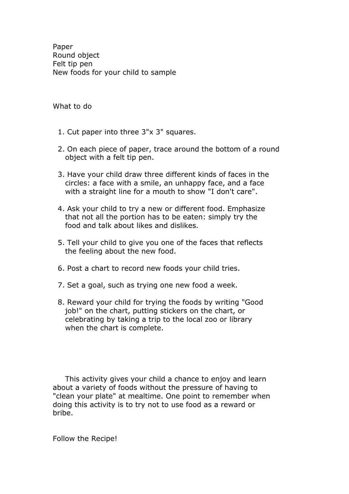Paper Round object Felt tip pen New foods for your child to sample

What to do

- 1. Cut paper into three 3"x 3" squares.
- 2. On each piece of paper, trace around the bottom of a round object with a felt tip pen.
- 3. Have your child draw three different kinds of faces in the circles: a face with a smile, an unhappy face, and a face with a straight line for a mouth to show "I don't care".
- 4. Ask your child to try a new or different food. Emphasize that not all the portion has to be eaten: simply try the food and talk about likes and dislikes.
- 5. Tell your child to give you one of the faces that reflects the feeling about the new food.
- 6. Post a chart to record new foods your child tries.
- 7. Set a goal, such as trying one new food a week.
- 8. Reward your child for trying the foods by writing "Good job!" on the chart, putting stickers on the chart, or celebrating by taking a trip to the local zoo or library when the chart is complete.

 This activity gives your child a chance to enjoy and learn about a variety of foods without the pressure of having to "clean your plate" at mealtime. One point to remember when doing this activity is to try not to use food as a reward or bribe.

Follow the Recipe!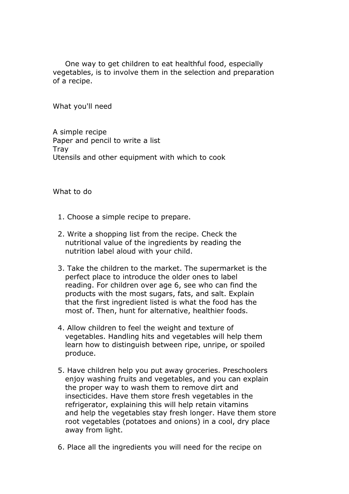One way to get children to eat healthful food, especially vegetables, is to involve them in the selection and preparation of a recipe.

What you'll need

A simple recipe Paper and pencil to write a list **Tray** Utensils and other equipment with which to cook

- 1. Choose a simple recipe to prepare.
- 2. Write a shopping list from the recipe. Check the nutritional value of the ingredients by reading the nutrition label aloud with your child.
- 3. Take the children to the market. The supermarket is the perfect place to introduce the older ones to label reading. For children over age 6, see who can find the products with the most sugars, fats, and salt. Explain that the first ingredient listed is what the food has the most of. Then, hunt for alternative, healthier foods.
- 4. Allow children to feel the weight and texture of vegetables. Handling hits and vegetables will help them learn how to distinguish between ripe, unripe, or spoiled produce.
- 5. Have children help you put away groceries. Preschoolers enjoy washing fruits and vegetables, and you can explain the proper way to wash them to remove dirt and insecticides. Have them store fresh vegetables in the refrigerator, explaining this will help retain vitamins and help the vegetables stay fresh longer. Have them store root vegetables (potatoes and onions) in a cool, dry place away from light.
- 6. Place all the ingredients you will need for the recipe on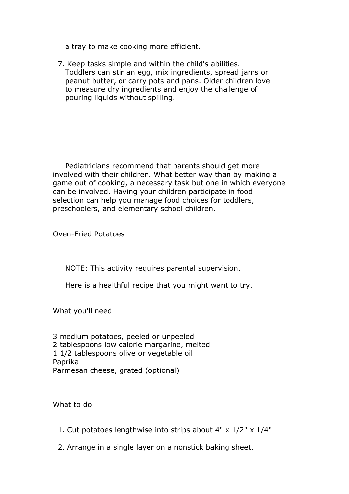a tray to make cooking more efficient.

 7. Keep tasks simple and within the child's abilities. Toddlers can stir an egg, mix ingredients, spread jams or peanut butter, or carry pots and pans. Older children love to measure dry ingredients and enjoy the challenge of pouring liquids without spilling.

 Pediatricians recommend that parents should get more involved with their children. What better way than by making a game out of cooking, a necessary task but one in which everyone can be involved. Having your children participate in food selection can help you manage food choices for toddlers, preschoolers, and elementary school children.

Oven-Fried Potatoes

NOTE: This activity requires parental supervision.

Here is a healthful recipe that you might want to try.

What you'll need

3 medium potatoes, peeled or unpeeled 2 tablespoons low calorie margarine, melted 1 1/2 tablespoons olive or vegetable oil Paprika Parmesan cheese, grated (optional)

- 1. Cut potatoes lengthwise into strips about 4" x 1/2" x 1/4"
- 2. Arrange in a single layer on a nonstick baking sheet.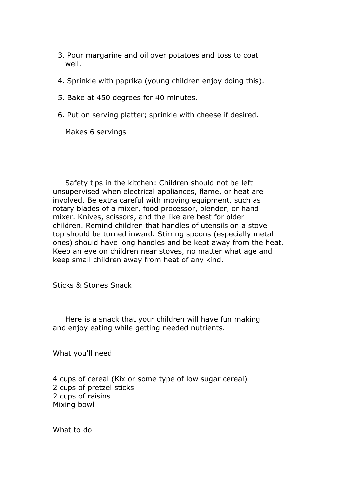- 3. Pour margarine and oil over potatoes and toss to coat well.
- 4. Sprinkle with paprika (young children enjoy doing this).
- 5. Bake at 450 degrees for 40 minutes.
- 6. Put on serving platter; sprinkle with cheese if desired.

Makes 6 servings

 Safety tips in the kitchen: Children should not be left unsupervised when electrical appliances, flame, or heat are involved. Be extra careful with moving equipment, such as rotary blades of a mixer, food processor, blender, or hand mixer. Knives, scissors, and the like are best for older children. Remind children that handles of utensils on a stove top should be turned inward. Stirring spoons (especially metal ones) should have long handles and be kept away from the heat. Keep an eye on children near stoves, no matter what age and keep small children away from heat of any kind.

Sticks & Stones Snack

 Here is a snack that your children will have fun making and enjoy eating while getting needed nutrients.

What you'll need

4 cups of cereal (Kix or some type of low sugar cereal) 2 cups of pretzel sticks 2 cups of raisins Mixing bowl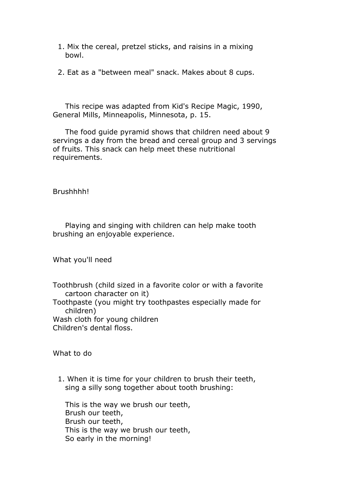- 1. Mix the cereal, pretzel sticks, and raisins in a mixing bowl.
- 2. Eat as a "between meal" snack. Makes about 8 cups.

 This recipe was adapted from Kid's Recipe Magic, 1990, General Mills, Minneapolis, Minnesota, p. 15.

 The food guide pyramid shows that children need about 9 servings a day from the bread and cereal group and 3 servings of fruits. This snack can help meet these nutritional requirements.

Brushhhh!

 Playing and singing with children can help make tooth brushing an enjoyable experience.

What you'll need

Toothbrush (child sized in a favorite color or with a favorite cartoon character on it) Toothpaste (you might try toothpastes especially made for children) Wash cloth for young children Children's dental floss.

What to do

 1. When it is time for your children to brush their teeth, sing a silly song together about tooth brushing:

 This is the way we brush our teeth, Brush our teeth, Brush our teeth, This is the way we brush our teeth, So early in the morning!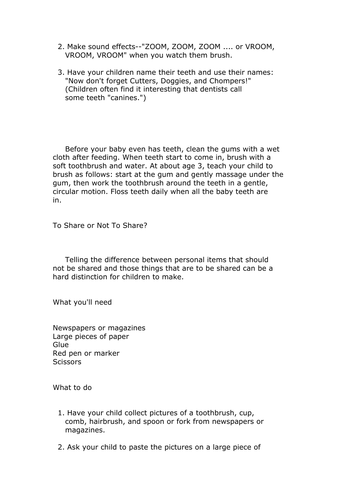- 2. Make sound effects--"ZOOM, ZOOM, ZOOM .... or VROOM, VROOM, VROOM" when you watch them brush.
- 3. Have your children name their teeth and use their names: "Now don't forget Cutters, Doggies, and Chompers!" (Children often find it interesting that dentists call some teeth "canines.")

 Before your baby even has teeth, clean the gums with a wet cloth after feeding. When teeth start to come in, brush with a soft toothbrush and water. At about age 3, teach your child to brush as follows: start at the gum and gently massage under the gum, then work the toothbrush around the teeth in a gentle, circular motion. Floss teeth daily when all the baby teeth are in.

To Share or Not To Share?

 Telling the difference between personal items that should not be shared and those things that are to be shared can be a hard distinction for children to make.

What you'll need

Newspapers or magazines Large pieces of paper Glue Red pen or marker **Scissors** 

- 1. Have your child collect pictures of a toothbrush, cup, comb, hairbrush, and spoon or fork from newspapers or magazines.
- 2. Ask your child to paste the pictures on a large piece of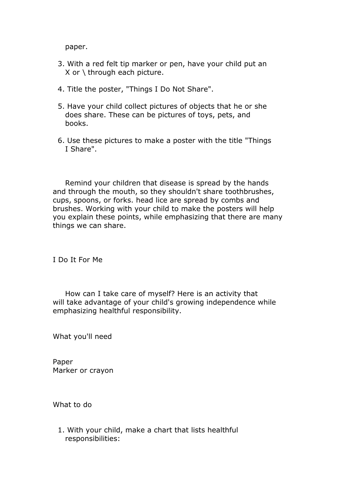paper.

- 3. With a red felt tip marker or pen, have your child put an X or \ through each picture.
- 4. Title the poster, "Things I Do Not Share".
- 5. Have your child collect pictures of objects that he or she does share. These can be pictures of toys, pets, and books.
- 6. Use these pictures to make a poster with the title "Things I Share".

 Remind your children that disease is spread by the hands and through the mouth, so they shouldn't share toothbrushes, cups, spoons, or forks. head lice are spread by combs and brushes. Working with your child to make the posters will help you explain these points, while emphasizing that there are many things we can share.

I Do It For Me

 How can I take care of myself? Here is an activity that will take advantage of your child's growing independence while emphasizing healthful responsibility.

What you'll need

Paper Marker or crayon

What to do

 1. With your child, make a chart that lists healthful responsibilities: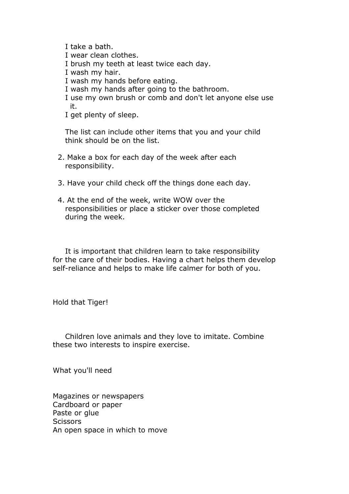I take a bath.

I wear clean clothes.

I brush my teeth at least twice each day.

I wash my hair.

- I wash my hands before eating.
- I wash my hands after going to the bathroom.
- I use my own brush or comb and don't let anyone else use it.
- I get plenty of sleep.

 The list can include other items that you and your child think should be on the list.

- 2. Make a box for each day of the week after each responsibility.
- 3. Have your child check off the things done each day.
- 4. At the end of the week, write WOW over the responsibilities or place a sticker over those completed during the week.

 It is important that children learn to take responsibility for the care of their bodies. Having a chart helps them develop self-reliance and helps to make life calmer for both of you.

Hold that Tiger!

 Children love animals and they love to imitate. Combine these two interests to inspire exercise.

What you'll need

Magazines or newspapers Cardboard or paper Paste or glue **Scissors** An open space in which to move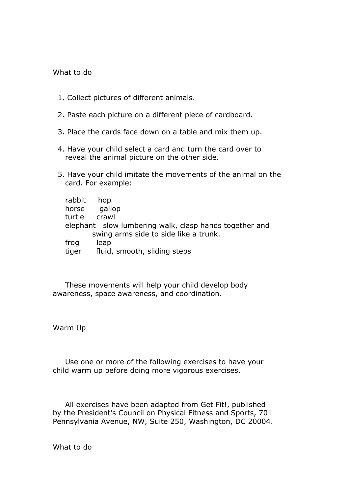What to do

- 1. Collect pictures of different animals.
- 2. Paste each picture on a different piece of cardboard.
- 3. Place the cards face down on a table and mix them up.
- 4. Have your child select a card and turn the card over to reveal the animal picture on the other side.
- 5. Have your child imitate the movements of the animal on the card. For example:

| rabbit | hop                                                    |
|--------|--------------------------------------------------------|
| horse  | gallop                                                 |
| turtle | crawl                                                  |
|        | elephant slow lumbering walk, clasp hands together and |
|        | swing arms side to side like a trunk.                  |
| frog   | leap                                                   |
| tiger  | fluid, smooth, sliding steps                           |
|        |                                                        |

 These movements will help your child develop body awareness, space awareness, and coordination.

Warm Up

 Use one or more of the following exercises to have your child warm up before doing more vigorous exercises.

 All exercises have been adapted from Get Fit!, published by the President's Council on Physical Fitness and Sports, 701 Pennsylvania Avenue, NW, Suite 250, Washington, DC 20004.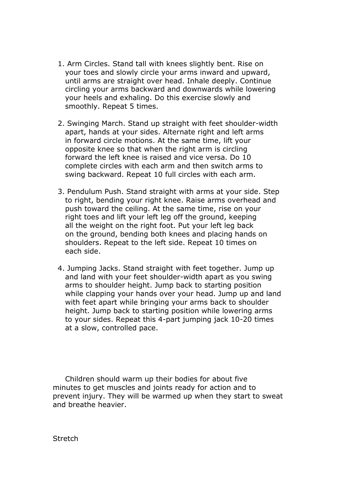- 1. Arm Circles. Stand tall with knees slightly bent. Rise on your toes and slowly circle your arms inward and upward, until arms are straight over head. Inhale deeply. Continue circling your arms backward and downwards while lowering your heels and exhaling. Do this exercise slowly and smoothly. Repeat 5 times.
- 2. Swinging March. Stand up straight with feet shoulder-width apart, hands at your sides. Alternate right and left arms in forward circle motions. At the same time, lift your opposite knee so that when the right arm is circling forward the left knee is raised and vice versa. Do 10 complete circles with each arm and then switch arms to swing backward. Repeat 10 full circles with each arm.
- 3. Pendulum Push. Stand straight with arms at your side. Step to right, bending your right knee. Raise arms overhead and push toward the ceiling. At the same time, rise on your right toes and lift your left leg off the ground, keeping all the weight on the right foot. Put your left leg back on the ground, bending both knees and placing hands on shoulders. Repeat to the left side. Repeat 10 times on each side.
- 4. Jumping Jacks. Stand straight with feet together. Jump up and land with your feet shoulder-width apart as you swing arms to shoulder height. Jump back to starting position while clapping your hands over your head. Jump up and land with feet apart while bringing your arms back to shoulder height. Jump back to starting position while lowering arms to your sides. Repeat this 4-part jumping jack 10-20 times at a slow, controlled pace.

 Children should warm up their bodies for about five minutes to get muscles and joints ready for action and to prevent injury. They will be warmed up when they start to sweat and breathe heavier.

**Stretch**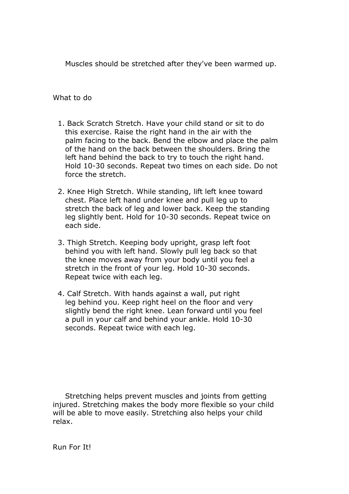Muscles should be stretched after they've been warmed up.

What to do

- 1. Back Scratch Stretch. Have your child stand or sit to do this exercise. Raise the right hand in the air with the palm facing to the back. Bend the elbow and place the palm of the hand on the back between the shoulders. Bring the left hand behind the back to try to touch the right hand. Hold 10-30 seconds. Repeat two times on each side. Do not force the stretch.
- 2. Knee High Stretch. While standing, lift left knee toward chest. Place left hand under knee and pull leg up to stretch the back of leg and lower back. Keep the standing leg slightly bent. Hold for 10-30 seconds. Repeat twice on each side.
- 3. Thigh Stretch. Keeping body upright, grasp left foot behind you with left hand. Slowly pull leg back so that the knee moves away from your body until you feel a stretch in the front of your leg. Hold 10-30 seconds. Repeat twice with each leg.
- 4. Calf Stretch. With hands against a wall, put right leg behind you. Keep right heel on the floor and very slightly bend the right knee. Lean forward until you feel a pull in your calf and behind your ankle. Hold 10-30 seconds. Repeat twice with each leg.

 Stretching helps prevent muscles and joints from getting injured. Stretching makes the body more flexible so your child will be able to move easily. Stretching also helps your child relax.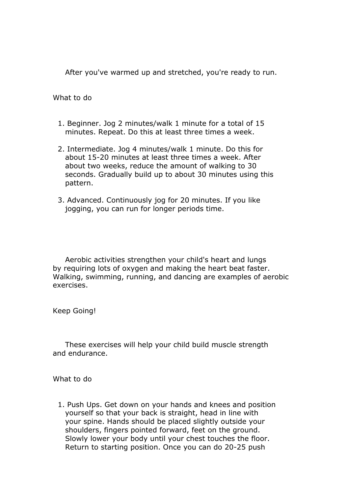After you've warmed up and stretched, you're ready to run.

What to do

- 1. Beginner. Jog 2 minutes/walk 1 minute for a total of 15 minutes. Repeat. Do this at least three times a week.
- 2. Intermediate. Jog 4 minutes/walk 1 minute. Do this for about 15-20 minutes at least three times a week. After about two weeks, reduce the amount of walking to 30 seconds. Gradually build up to about 30 minutes using this pattern.
- 3. Advanced. Continuously jog for 20 minutes. If you like jogging, you can run for longer periods time.

 Aerobic activities strengthen your child's heart and lungs by requiring lots of oxygen and making the heart beat faster. Walking, swimming, running, and dancing are examples of aerobic exercises.

Keep Going!

 These exercises will help your child build muscle strength and endurance.

What to do

 1. Push Ups. Get down on your hands and knees and position yourself so that your back is straight, head in line with your spine. Hands should be placed slightly outside your shoulders, fingers pointed forward, feet on the ground. Slowly lower your body until your chest touches the floor. Return to starting position. Once you can do 20-25 push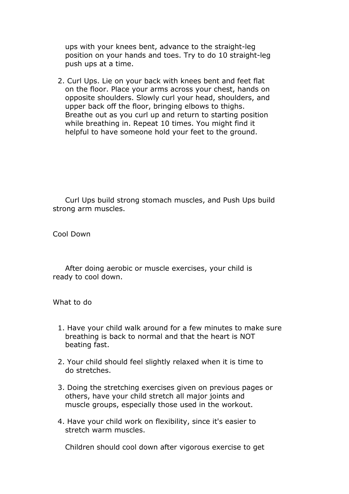ups with your knees bent, advance to the straight-leg position on your hands and toes. Try to do 10 straight-leg push ups at a time.

 2. Curl Ups. Lie on your back with knees bent and feet flat on the floor. Place your arms across your chest, hands on opposite shoulders. Slowly curl your head, shoulders, and upper back off the floor, bringing elbows to thighs. Breathe out as you curl up and return to starting position while breathing in. Repeat 10 times. You might find it helpful to have someone hold your feet to the ground.

 Curl Ups build strong stomach muscles, and Push Ups build strong arm muscles.

Cool Down

 After doing aerobic or muscle exercises, your child is ready to cool down.

What to do

- 1. Have your child walk around for a few minutes to make sure breathing is back to normal and that the heart is NOT beating fast.
- 2. Your child should feel slightly relaxed when it is time to do stretches.
- 3. Doing the stretching exercises given on previous pages or others, have your child stretch all major joints and muscle groups, especially those used in the workout.
- 4. Have your child work on flexibility, since it's easier to stretch warm muscles.

Children should cool down after vigorous exercise to get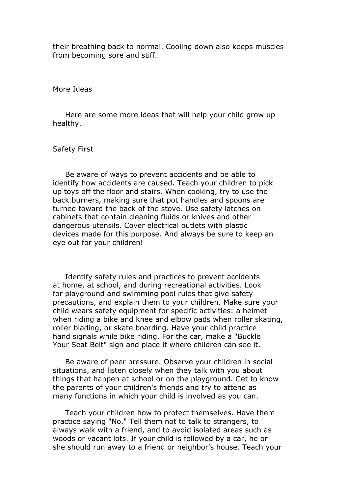their breathing back to normal. Cooling down also keeps muscles from becoming sore and stiff.

More Ideas

 Here are some more ideas that will help your child grow up healthy.

Safety First

 Be aware of ways to prevent accidents and be able to identify how accidents are caused. Teach your children to pick up toys off the floor and stairs. When cooking, try to use the back burners, making sure that pot handles and spoons are turned toward the back of the stove. Use safety latches on cabinets that contain cleaning fluids or knives and other dangerous utensils. Cover electrical outlets with plastic devices made for this purpose. And always be sure to keep an eye out for your children!

 Identify safety rules and practices to prevent accidents at home, at school, and during recreational activities. Look for playground and swimming pool rules that give safety precautions, and explain them to your children. Make sure your child wears safety equipment for specific activities: a helmet when riding a bike and knee and elbow pads when roller skating, roller blading, or skate boarding. Have your child practice hand signals while bike riding. For the car, make a "Buckle Your Seat Belt" sign and place it where children can see it.

 Be aware of peer pressure. Observe your children in social situations, and listen closely when they talk with you about things that happen at school or on the playground. Get to know the parents of your children's friends and try to attend as many functions in which your child is involved as you can.

 Teach your children how to protect themselves. Have them practice saying "No." Tell them not to talk to strangers, to always walk with a friend, and to avoid isolated areas such as woods or vacant lots. If your child is followed by a car, he or she should run away to a friend or neighbor's house. Teach your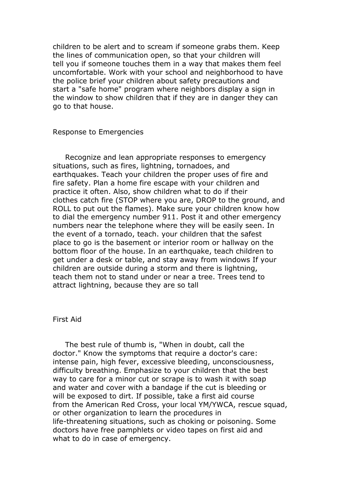children to be alert and to scream if someone grabs them. Keep the lines of communication open, so that your children will tell you if someone touches them in a way that makes them feel uncomfortable. Work with your school and neighborhood to have the police brief your children about safety precautions and start a "safe home" program where neighbors display a sign in the window to show children that if they are in danger they can go to that house.

#### Response to Emergencies

 Recognize and lean appropriate responses to emergency situations, such as fires, lightning, tornadoes, and earthquakes. Teach your children the proper uses of fire and fire safety. Plan a home fire escape with your children and practice it often. Also, show children what to do if their clothes catch fire (STOP where you are, DROP to the ground, and ROLL to put out the flames). Make sure your children know how to dial the emergency number 911. Post it and other emergency numbers near the telephone where they will be easily seen. In the event of a tornado, teach. your children that the safest place to go is the basement or interior room or hallway on the bottom floor of the house. In an earthquake, teach children to get under a desk or table, and stay away from windows If your children are outside during a storm and there is lightning, teach them not to stand under or near a tree. Trees tend to attract lightning, because they are so tall

#### First Aid

 The best rule of thumb is, "When in doubt, call the doctor." Know the symptoms that require a doctor's care: intense pain, high fever, excessive bleeding, unconsciousness, difficulty breathing. Emphasize to your children that the best way to care for a minor cut or scrape is to wash it with soap and water and cover with a bandage if the cut is bleeding or will be exposed to dirt. If possible, take a first aid course from the American Red Cross, your local YM/YWCA, rescue squad, or other organization to learn the procedures in life-threatening situations, such as choking or poisoning. Some doctors have free pamphlets or video tapes on first aid and what to do in case of emergency.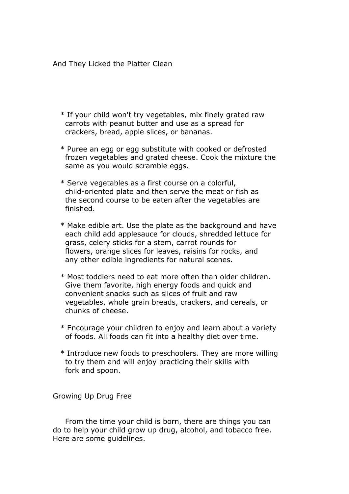- \* If your child won't try vegetables, mix finely grated raw carrots with peanut butter and use as a spread for crackers, bread, apple slices, or bananas.
- \* Puree an egg or egg substitute with cooked or defrosted frozen vegetables and grated cheese. Cook the mixture the same as you would scramble eggs.
- \* Serve vegetables as a first course on a colorful, child-oriented plate and then serve the meat or fish as the second course to be eaten after the vegetables are finished.
- \* Make edible art. Use the plate as the background and have each child add applesauce for clouds, shredded lettuce for grass, celery sticks for a stem, carrot rounds for flowers, orange slices for leaves, raisins for rocks, and any other edible ingredients for natural scenes.
- \* Most toddlers need to eat more often than older children. Give them favorite, high energy foods and quick and convenient snacks such as slices of fruit and raw vegetables, whole grain breads, crackers, and cereals, or chunks of cheese.
- \* Encourage your children to enjoy and learn about a variety of foods. All foods can fit into a healthy diet over time.
- \* Introduce new foods to preschoolers. They are more willing to try them and will enjoy practicing their skills with fork and spoon.

## Growing Up Drug Free

 From the time your child is born, there are things you can do to help your child grow up drug, alcohol, and tobacco free. Here are some guidelines.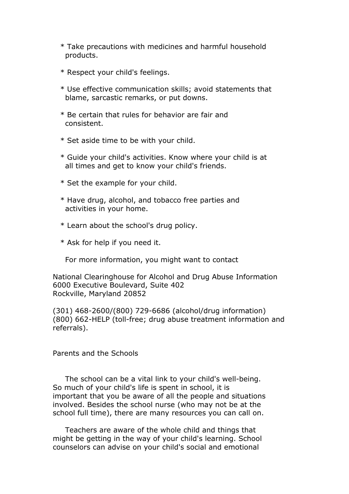- \* Take precautions with medicines and harmful household products.
- \* Respect your child's feelings.
- \* Use effective communication skills; avoid statements that blame, sarcastic remarks, or put downs.
- \* Be certain that rules for behavior are fair and consistent.
- \* Set aside time to be with your child.
- \* Guide your child's activities. Know where your child is at all times and get to know your child's friends.
- \* Set the example for your child.
- \* Have drug, alcohol, and tobacco free parties and activities in your home.
- \* Learn about the school's drug policy.
- \* Ask for help if you need it.

For more information, you might want to contact

National Clearinghouse for Alcohol and Drug Abuse Information 6000 Executive Boulevard, Suite 402 Rockville, Maryland 20852

(301) 468-2600/(800) 729-6686 (alcohol/drug information) (800) 662-HELP (toll-free; drug abuse treatment information and referrals).

Parents and the Schools

 The school can be a vital link to your child's well-being. So much of your child's life is spent in school, it is important that you be aware of all the people and situations involved. Besides the school nurse (who may not be at the school full time), there are many resources you can call on.

 Teachers are aware of the whole child and things that might be getting in the way of your child's learning. School counselors can advise on your child's social and emotional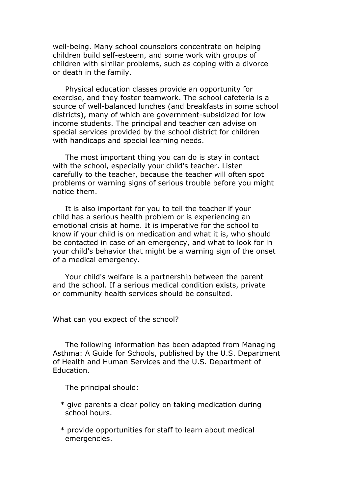well-being. Many school counselors concentrate on helping children build self-esteem, and some work with groups of children with similar problems, such as coping with a divorce or death in the family.

 Physical education classes provide an opportunity for exercise, and they foster teamwork. The school cafeteria is a source of well-balanced lunches (and breakfasts in some school districts), many of which are government-subsidized for low income students. The principal and teacher can advise on special services provided by the school district for children with handicaps and special learning needs.

 The most important thing you can do is stay in contact with the school, especially your child's teacher. Listen carefully to the teacher, because the teacher will often spot problems or warning signs of serious trouble before you might notice them.

 It is also important for you to tell the teacher if your child has a serious health problem or is experiencing an emotional crisis at home. It is imperative for the school to know if your child is on medication and what it is, who should be contacted in case of an emergency, and what to look for in your child's behavior that might be a warning sign of the onset of a medical emergency.

 Your child's welfare is a partnership between the parent and the school. If a serious medical condition exists, private or community health services should be consulted.

What can you expect of the school?

 The following information has been adapted from Managing Asthma: A Guide for Schools, published by the U.S. Department of Health and Human Services and the U.S. Department of Education.

The principal should:

- \* give parents a clear policy on taking medication during school hours.
- \* provide opportunities for staff to learn about medical emergencies.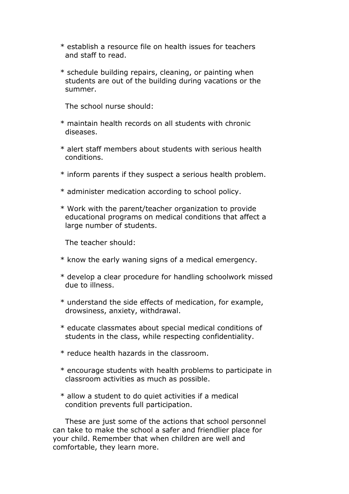- \* establish a resource file on health issues for teachers and staff to read.
- \* schedule building repairs, cleaning, or painting when students are out of the building during vacations or the summer.

The school nurse should:

- \* maintain health records on all students with chronic diseases.
- \* alert staff members about students with serious health conditions.
- \* inform parents if they suspect a serious health problem.
- \* administer medication according to school policy.
- \* Work with the parent/teacher organization to provide educational programs on medical conditions that affect a large number of students.

The teacher should:

- \* know the early waning signs of a medical emergency.
- \* develop a clear procedure for handling schoolwork missed due to illness.
- \* understand the side effects of medication, for example, drowsiness, anxiety, withdrawal.
- \* educate classmates about special medical conditions of students in the class, while respecting confidentiality.
- \* reduce health hazards in the classroom.
- \* encourage students with health problems to participate in classroom activities as much as possible.
- \* allow a student to do quiet activities if a medical condition prevents full participation.

 These are just some of the actions that school personnel can take to make the school a safer and friendlier place for your child. Remember that when children are well and comfortable, they learn more.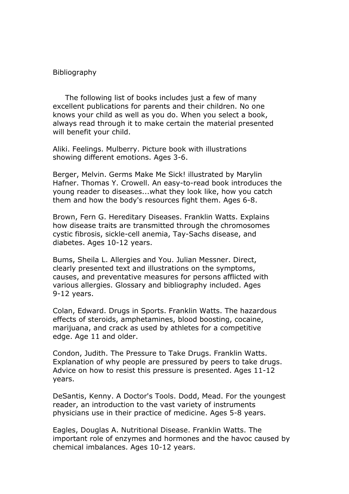#### Bibliography

 The following list of books includes just a few of many excellent publications for parents and their children. No one knows your child as well as you do. When you select a book, always read through it to make certain the material presented will benefit your child.

Aliki. Feelings. Mulberry. Picture book with illustrations showing different emotions. Ages 3-6.

Berger, Melvin. Germs Make Me Sick! illustrated by Marylin Hafner. Thomas Y. Crowell. An easy-to-read book introduces the young reader to diseases...what they look like, how you catch them and how the body's resources fight them. Ages 6-8.

Brown, Fern G. Hereditary Diseases. Franklin Watts. Explains how disease traits are transmitted through the chromosomes cystic fibrosis, sickle-cell anemia, Tay-Sachs disease, and diabetes. Ages 10-12 years.

Bums, Sheila L. Allergies and You. Julian Messner. Direct, clearly presented text and illustrations on the symptoms, causes, and preventative measures for persons afflicted with various allergies. Glossary and bibliography included. Ages 9-12 years.

Colan, Edward. Drugs in Sports. Franklin Watts. The hazardous effects of steroids, amphetamines, blood boosting, cocaine, marijuana, and crack as used by athletes for a competitive edge. Age 11 and older.

Condon, Judith. The Pressure to Take Drugs. Franklin Watts. Explanation of why people are pressured by peers to take drugs. Advice on how to resist this pressure is presented. Ages 11-12 years.

DeSantis, Kenny. A Doctor's Tools. Dodd, Mead. For the youngest reader, an introduction to the vast variety of instruments physicians use in their practice of medicine. Ages 5-8 years.

Eagles, Douglas A. Nutritional Disease. Franklin Watts. The important role of enzymes and hormones and the havoc caused by chemical imbalances. Ages 10-12 years.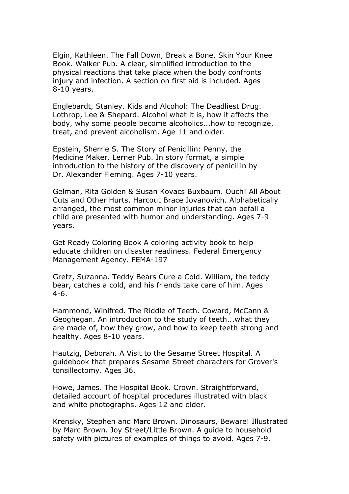Elgin, Kathleen. The Fall Down, Break a Bone, Skin Your Knee Book. Walker Pub. A clear, simplified introduction to the physical reactions that take place when the body confronts injury and infection. A section on first aid is included. Ages 8-10 years.

Englebardt, Stanley. Kids and Alcohol: The Deadliest Drug. Lothrop, Lee & Shepard. Alcohol what it is, how it affects the body, why some people become alcoholics...how to recognize, treat, and prevent alcoholism. Age 11 and older.

Epstein, Sherrie S. The Story of Penicillin: Penny, the Medicine Maker. Lerner Pub. In story format, a simple introduction to the history of the discovery of penicillin by Dr. Alexander Fleming. Ages 7-10 years.

Gelman, Rita Golden & Susan Kovacs Buxbaum. Ouch! All About Cuts and Other Hurts. Harcout Brace Jovanovich. Alphabetically arranged, the most common minor injuries that can befall a child are presented with humor and understanding. Ages 7-9 years.

Get Ready Coloring Book A coloring activity book to help educate children on disaster readiness. Federal Emergency Management Agency. FEMA-197

Gretz, Suzanna. Teddy Bears Cure a Cold. William, the teddy bear, catches a cold, and his friends take care of him. Ages 4-6.

Hammond, Winifred. The Riddle of Teeth. Coward, McCann & Geoghegan. An introduction to the study of teeth...what they are made of, how they grow, and how to keep teeth strong and healthy. Ages 8-10 years.

Hautzig, Deborah. A Visit to the Sesame Street Hospital. A guidebook that prepares Sesame Street characters for Grover's tonsillectomy. Ages 36.

Howe, James. The Hospital Book. Crown. Straightforward, detailed account of hospital procedures illustrated with black and white photographs. Ages 12 and older.

Krensky, Stephen and Marc Brown. Dinosaurs, Beware! Illustrated by Marc Brown. Joy Street/Little Brown. A guide to household safety with pictures of examples of things to avoid. Ages 7-9.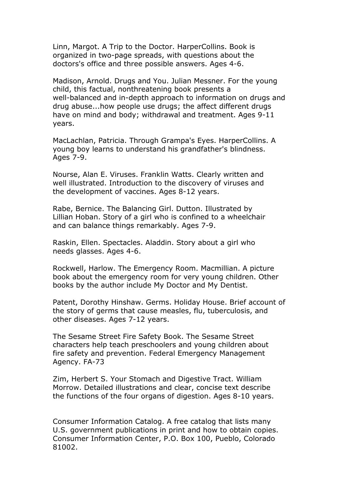Linn, Margot. A Trip to the Doctor. HarperCollins. Book is organized in two-page spreads, with questions about the doctors's office and three possible answers. Ages 4-6.

Madison, Arnold. Drugs and You. Julian Messner. For the young child, this factual, nonthreatening book presents a well-balanced and in-depth approach to information on drugs and drug abuse...how people use drugs; the affect different drugs have on mind and body; withdrawal and treatment. Ages 9-11 years.

MacLachlan, Patricia. Through Grampa's Eyes. HarperCollins. A young boy learns to understand his grandfather's blindness. Ages 7-9.

Nourse, Alan E. Viruses. Franklin Watts. Clearly written and well illustrated. Introduction to the discovery of viruses and the development of vaccines. Ages 8-12 years.

Rabe, Bernice. The Balancing Girl. Dutton. Illustrated by Lillian Hoban. Story of a girl who is confined to a wheelchair and can balance things remarkably. Ages 7-9.

Raskin, Ellen. Spectacles. Aladdin. Story about a girl who needs glasses. Ages 4-6.

Rockwell, Harlow. The Emergency Room. Macmillian. A picture book about the emergency room for very young children. Other books by the author include My Doctor and My Dentist.

Patent, Dorothy Hinshaw. Germs. Holiday House. Brief account of the story of germs that cause measles, flu, tuberculosis, and other diseases. Ages 7-12 years.

The Sesame Street Fire Safety Book. The Sesame Street characters help teach preschoolers and young children about fire safety and prevention. Federal Emergency Management Agency. FA-73

Zim, Herbert S. Your Stomach and Digestive Tract. William Morrow. Detailed illustrations and clear, concise text describe the functions of the four organs of digestion. Ages 8-10 years.

Consumer Information Catalog. A free catalog that lists many U.S. government publications in print and how to obtain copies. Consumer Information Center, P.O. Box 100, Pueblo, Colorado 81002.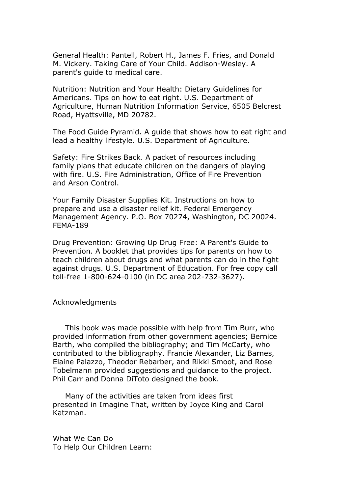General Health: Pantell, Robert H., James F. Fries, and Donald M. Vickery. Taking Care of Your Child. Addison-Wesley. A parent's guide to medical care.

Nutrition: Nutrition and Your Health: Dietary Guidelines for Americans. Tips on how to eat right. U.S. Department of Agriculture, Human Nutrition Information Service, 6505 Belcrest Road, Hyattsville, MD 20782.

The Food Guide Pyramid. A guide that shows how to eat right and lead a healthy lifestyle. U.S. Department of Agriculture.

Safety: Fire Strikes Back. A packet of resources including family plans that educate children on the dangers of playing with fire. U.S. Fire Administration, Office of Fire Prevention and Arson Control.

Your Family Disaster Supplies Kit. Instructions on how to prepare and use a disaster relief kit. Federal Emergency Management Agency. P.O. Box 70274, Washington, DC 20024. FEMA-189

Drug Prevention: Growing Up Drug Free: A Parent's Guide to Prevention. A booklet that provides tips for parents on how to teach children about drugs and what parents can do in the fight against drugs. U.S. Department of Education. For free copy call toll-free 1-800-624-0100 (in DC area 202-732-3627).

#### Acknowledgments

 This book was made possible with help from Tim Burr, who provided information from other government agencies; Bernice Barth, who compiled the bibliography; and Tim McCarty, who contributed to the bibliography. Francie Alexander, Liz Barnes, Elaine Palazzo, Theodor Rebarber, and Rikki Smoot, and Rose Tobelmann provided suggestions and guidance to the project. Phil Carr and Donna DiToto designed the book.

 Many of the activities are taken from ideas first presented in Imagine That, written by Joyce King and Carol Katzman.

What We Can Do To Help Our Children Learn: